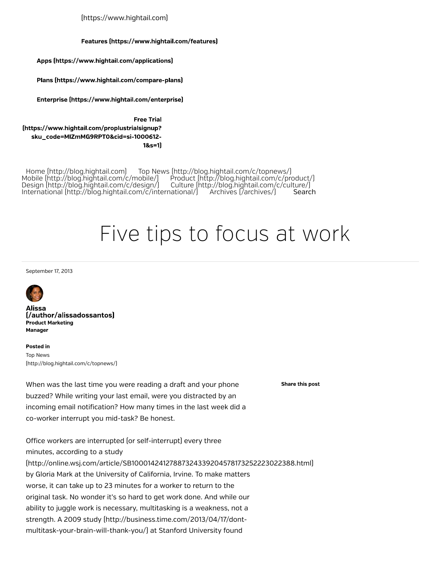[\(https://www.hightail.com\)](https://www.hightail.com/)

### Features (https://www.hightail.com/features)

### Apps (https://www.hightail.com/applications)

Plans (https://www.hightail.com/compare-plans)

Enterprise (https://www.hightail.com/enterprise)

**Free Trial** (https://www.hightail.com/proplustrialsignup? sku\_code=MIZmMG9RPT0&cid=si-1000612- $18s = 11$ 

[Home \(http://blog.hightail.com\)](http://blog.hightail.com/) [Top News \(http://blog.hightail.com/c/topnews/\)](http://blog.hightail.com/c/topnews/)<br>Mobile (http://blog.hightail.com/c/mobile/) Product (http://blog.hightail.com/c/pr<br>Design (http://blog.hightail.com/c/design/) Culture (http:// [Mobile \(http://blog.hightail.com/c/mobile/\)](http://blog.hightail.com/c/mobile/) [Product \(http://blog.hightail.com/c/product/\)](http://blog.hightail.com/c/product/) [Design \(http://blog.hightail.com/c/design/\)](http://blog.hightail.com/c/design/) [Culture \(http://blog.hightail.com/c/culture/\)](http://blog.hightail.com/c/culture/) [International \(http://blog.hightail.com/c/international/\)](http://blog.hightail.com/c/international/) [Archives \(/archives/\)](http://blog.hightail.com/archives/) Search

# Five tips to focus at work

September 17, 2013



Alissa (/author/alissadossantos) **Product Marketing** Manager

**Posted in** Top News [\(http://blog.hightail.com/c/topnews/\)](http://blog.hightail.com/c/topnews/)

When was the last time you were reading a draft and your phone buzzed? While writing your last email, were you distracted by an incoming email notification? How many times in the last week did a co-worker interrupt you mid-task? Be honest.

Share this post

Office workers are interrupted (or self-interrupt) every three minutes, according to a study [\(http://online.wsj.com/article/SB10001424127887324339204578173252223022388.html\)](http://online.wsj.com/article/SB10001424127887324339204578173252223022388.html) by Gloria Mark at the University of California, Irvine. To make matters worse, it can take up to 23 minutes for a worker to return to the original task. No wonder it's so hard to get work done. And while our ability to juggle work is necessary, multitasking is a weakness, not a strength. A 2009 study (http://business.time.com/2013/04/17/dont[multitask-your-brain-will-thank-you/\) at Stanford University found](http://business.time.com/2013/04/17/dont-multitask-your-brain-will-thank-you/)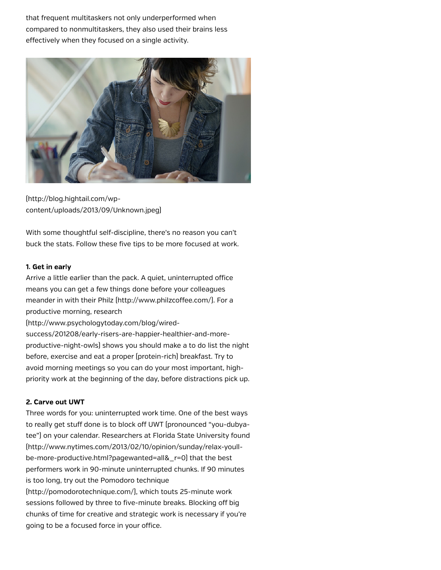that frequent multitaskers not only underperformed when compared to nonmultitaskers, they also used their brains less effectively when they focused on a single activity.



(http://blog.hightail.com/wp[content/uploads/2013/09/Unknown.jpeg\)](http://blog.hightail.com/wp-content/uploads/2013/09/Unknown.jpeg)

With some thoughtful self-discipline, there's no reason you can't buck the stats. Follow these five tips to be more focused at work.

## 1 Get in early

Arrive a little earlier than the pack. A quiet, uninterrupted office means you can get a few things done before your colleagues meander in with their [Philz \(http://www.philzcoffee.com/\)](http://www.philzcoffee.com/). For a productive morning, research

(http://www.psychologytoday.com/blog/wiredsuccess/201208/early-risers-are-happier-healthier-and-more[productive-night-owls\) shows you should make a to do list the](http://www.psychologytoday.com/blog/wired-success/201208/early-risers-are-happier-healthier-and-more-productive-night-owls) night before, exercise and eat a proper (protein-rich) breakfast. Try to avoid morning meetings so you can do your most important, highpriority work at the beginning of the day, before distractions pick up.

# 2. Carve out UWT

Three words for you: uninterrupted work time. One of the best ways to really get stuff done is to block off UWT (pronounced "you-dubyatee") on your calendar. Researchers at Florida State University found [\(http://www.nytimes.com/2013/02/10/opinion/sunday/relax-youll](http://www.nytimes.com/2013/02/10/opinion/sunday/relax-youll-be-more-productive.html?pagewanted=all&_r=0)be-more-productive.html?pagewanted=all&\_r=0) that the best performers work in 90-minute uninterrupted chunks. If 90 minutes is too long, try out the Pomodoro technique [\(http://pomodorotechnique.com/\), which tou](http://pomodorotechnique.com/)ts 25-minute work sessions followed by three to five-minute breaks. Blocking off big chunks of time for creative and strategic work is necessary if you're going to be a focused force in your office.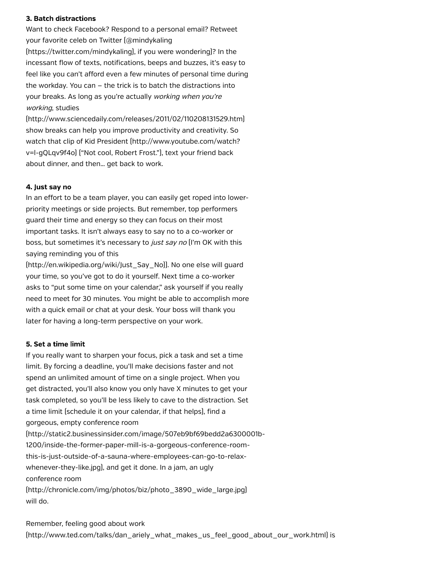## **3. Batch distractions**

Want to check Facebook? Respond to a personal email? Retweet your favorite celeb on Twitter (@mindykaling [\(https://twitter.com/mindykaling\), if you were](https://twitter.com/mindykaling) wondering)? In the incessant flow of texts, notifications, beeps and buzzes, it's easy to feel like you can't afford even a few minutes of personal time during the workday. You can — the trick is to batch the distractions into your breaks. As long as you're actually working when you're working, studies

[\(http://www.sciencedaily.com/releases/2011/02/110208131529.htm\)](http://www.sciencedaily.com/releases/2011/02/110208131529.htm) show breaks can help you improve productivity and creativity. So watch that clip of Kid President (http://www.youtube.com/watch? [v=l-gQLqv9f4o\) \("Not cool, Robert Frost."\), text your friend back](http://www.youtube.com/watch?v=l-gQLqv9f4o) about dinner, and then… get back to work.

## 4. Just say no

In an effort to be a team player, you can easily get roped into lowerpriority meetings or side projects. But remember, top performers guard their time and energy so they can focus on their most important tasks. It isn't always easy to say no to a co-worker or boss, but sometimes it's necessary to *just say no* [I'm OK with this saying reminding you of this

[\(http://en.wikipedia.org/wiki/Just\\_Say\\_No\)\)](http://en.wikipedia.org/wiki/Just_Say_No). No one else will guard your time, so you've got to do it yourself. Next time a co-worker asks to "put some time on your calendar," ask yourself if you really need to meet for 30 minutes. You might be able to accomplish more with a quick email or chat at your desk. Your boss will thank you later for having a long-term perspective on your work.

## 5. Set a time limit

If you really want to sharpen your focus, pick a task and set a time limit. By forcing a deadline, you'll make decisions faster and not spend an unlimited amount of time on a single project. When you get distracted, you'll also know you only have X minutes to get your task completed, so you'll be less likely to cave to the distraction. Set a time limit (schedule it on your calendar, if that helps), find a gorgeous, empty conference room

[\(http://static2.businessinsider.com/image/507eb9bf69bedd2a6300001b-](http://static2.businessinsider.com/image/507eb9bf69bedd2a6300001b-1200/inside-the-former-paper-mill-is-a-gorgeous-conference-room-this-is-just-outside-of-a-sauna-where-employees-can-go-to-relax-whenever-they-like.jpg)1200/inside-the-former-paper-mill-is-a-gorgeous-conference-roomthis-is-just-outside-of-a-sauna-where-employees-can-go-to-relaxwhenever-they-like.jpg), and get it done. In a jam, an ugly conference room

[\(http://chronicle.com/img/photos/biz/photo\\_3890\\_wide\\_large.jpg\)](http://chronicle.com/img/photos/biz/photo_3890_wide_large.jpg) will do.

Remember, feeling good about work [\(http://www.ted.com/talks/dan\\_ariely\\_what\\_makes\\_us\\_feel\\_good\\_about\\_our\\_work.html\)](http://www.ted.com/talks/dan_ariely_what_makes_us_feel_good_about_our_work.html) is